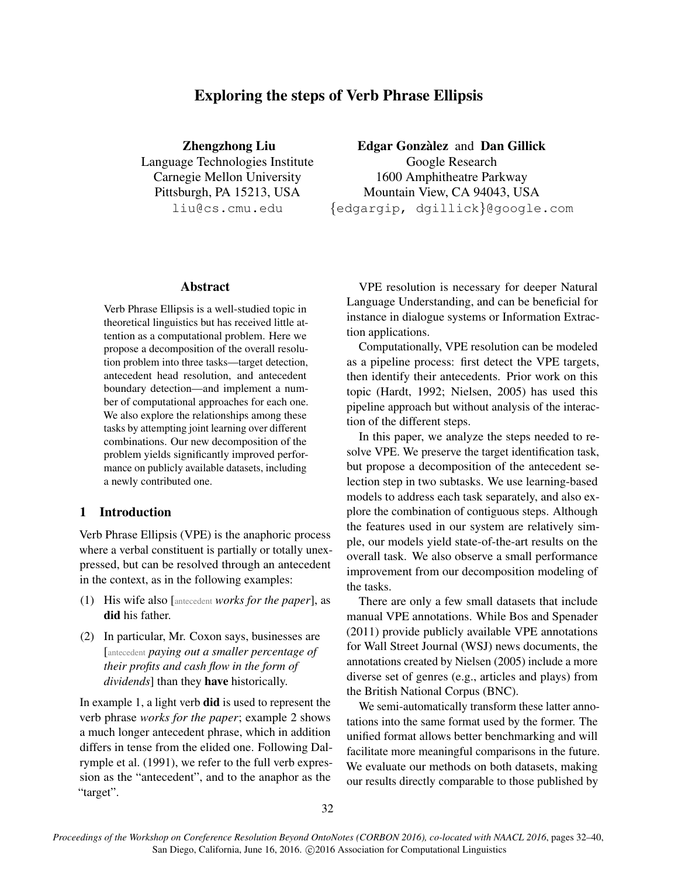# Exploring the steps of Verb Phrase Ellipsis

Zhengzhong Liu Language Technologies Institute Carnegie Mellon University Pittsburgh, PA 15213, USA liu@cs.cmu.edu

**Edgar Gonzàlez and Dan Gillick** Google Research

1600 Amphitheatre Parkway Mountain View, CA 94043, USA {edgargip, dgillick}@google.com

## Abstract

Verb Phrase Ellipsis is a well-studied topic in theoretical linguistics but has received little attention as a computational problem. Here we propose a decomposition of the overall resolution problem into three tasks—target detection, antecedent head resolution, and antecedent boundary detection—and implement a number of computational approaches for each one. We also explore the relationships among these tasks by attempting joint learning over different combinations. Our new decomposition of the problem yields significantly improved performance on publicly available datasets, including a newly contributed one.

## 1 Introduction

Verb Phrase Ellipsis (VPE) is the anaphoric process where a verbal constituent is partially or totally unexpressed, but can be resolved through an antecedent in the context, as in the following examples:

- (1) His wife also [antecedent *works for the paper*], as did his father.
- (2) In particular, Mr. Coxon says, businesses are [antecedent *paying out a smaller percentage of their profits and cash flow in the form of dividends*] than they have historically.

In example 1, a light verb did is used to represent the verb phrase *works for the paper*; example 2 shows a much longer antecedent phrase, which in addition differs in tense from the elided one. Following Dalrymple et al. (1991), we refer to the full verb expression as the "antecedent", and to the anaphor as the "target".

VPE resolution is necessary for deeper Natural Language Understanding, and can be beneficial for instance in dialogue systems or Information Extraction applications.

Computationally, VPE resolution can be modeled as a pipeline process: first detect the VPE targets, then identify their antecedents. Prior work on this topic (Hardt, 1992; Nielsen, 2005) has used this pipeline approach but without analysis of the interaction of the different steps.

In this paper, we analyze the steps needed to resolve VPE. We preserve the target identification task, but propose a decomposition of the antecedent selection step in two subtasks. We use learning-based models to address each task separately, and also explore the combination of contiguous steps. Although the features used in our system are relatively simple, our models yield state-of-the-art results on the overall task. We also observe a small performance improvement from our decomposition modeling of the tasks.

There are only a few small datasets that include manual VPE annotations. While Bos and Spenader (2011) provide publicly available VPE annotations for Wall Street Journal (WSJ) news documents, the annotations created by Nielsen (2005) include a more diverse set of genres (e.g., articles and plays) from the British National Corpus (BNC).

We semi-automatically transform these latter annotations into the same format used by the former. The unified format allows better benchmarking and will facilitate more meaningful comparisons in the future. We evaluate our methods on both datasets, making our results directly comparable to those published by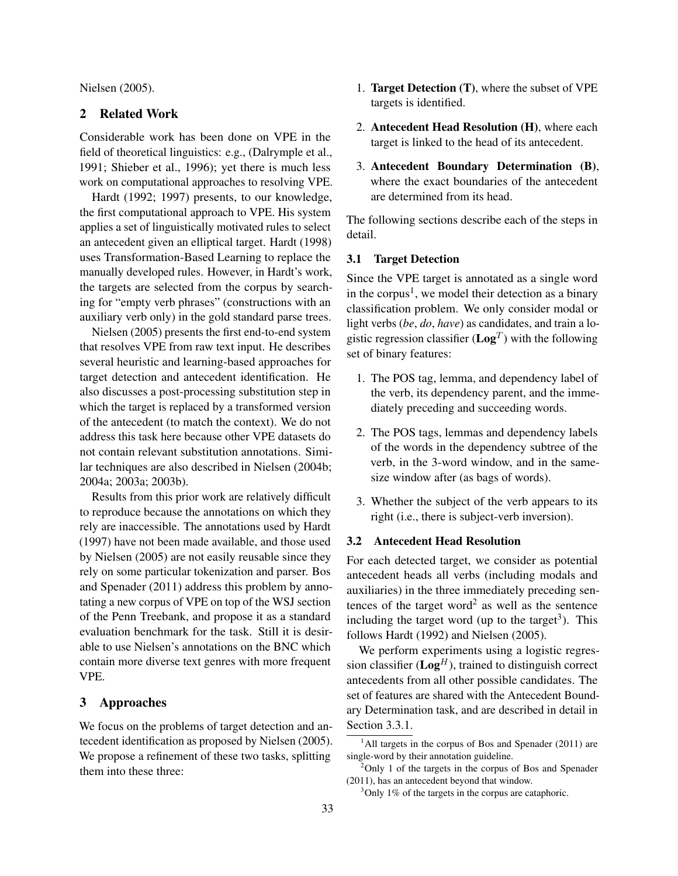Nielsen (2005).

### 2 Related Work

Considerable work has been done on VPE in the field of theoretical linguistics: e.g., (Dalrymple et al., 1991; Shieber et al., 1996); yet there is much less work on computational approaches to resolving VPE.

Hardt (1992; 1997) presents, to our knowledge, the first computational approach to VPE. His system applies a set of linguistically motivated rules to select an antecedent given an elliptical target. Hardt (1998) uses Transformation-Based Learning to replace the manually developed rules. However, in Hardt's work, the targets are selected from the corpus by searching for "empty verb phrases" (constructions with an auxiliary verb only) in the gold standard parse trees.

Nielsen (2005) presents the first end-to-end system that resolves VPE from raw text input. He describes several heuristic and learning-based approaches for target detection and antecedent identification. He also discusses a post-processing substitution step in which the target is replaced by a transformed version of the antecedent (to match the context). We do not address this task here because other VPE datasets do not contain relevant substitution annotations. Similar techniques are also described in Nielsen (2004b; 2004a; 2003a; 2003b).

Results from this prior work are relatively difficult to reproduce because the annotations on which they rely are inaccessible. The annotations used by Hardt (1997) have not been made available, and those used by Nielsen (2005) are not easily reusable since they rely on some particular tokenization and parser. Bos and Spenader (2011) address this problem by annotating a new corpus of VPE on top of the WSJ section of the Penn Treebank, and propose it as a standard evaluation benchmark for the task. Still it is desirable to use Nielsen's annotations on the BNC which contain more diverse text genres with more frequent VPE.

## 3 Approaches

We focus on the problems of target detection and antecedent identification as proposed by Nielsen (2005). We propose a refinement of these two tasks, splitting them into these three:

- 1. Target Detection (T), where the subset of VPE targets is identified.
- 2. Antecedent Head Resolution (H), where each target is linked to the head of its antecedent.
- 3. Antecedent Boundary Determination (B), where the exact boundaries of the antecedent are determined from its head.

The following sections describe each of the steps in detail.

### 3.1 Target Detection

Since the VPE target is annotated as a single word in the corpus<sup>1</sup>, we model their detection as a binary classification problem. We only consider modal or light verbs (*be*, *do*, *have*) as candidates, and train a logistic regression classifier ( $\mathbf{Log}^T$ ) with the following set of binary features:

- 1. The POS tag, lemma, and dependency label of the verb, its dependency parent, and the immediately preceding and succeeding words.
- 2. The POS tags, lemmas and dependency labels of the words in the dependency subtree of the verb, in the 3-word window, and in the samesize window after (as bags of words).
- 3. Whether the subject of the verb appears to its right (i.e., there is subject-verb inversion).

### 3.2 Antecedent Head Resolution

For each detected target, we consider as potential antecedent heads all verbs (including modals and auxiliaries) in the three immediately preceding sentences of the target word<sup>2</sup> as well as the sentence including the target word (up to the target<sup>3</sup>). This follows Hardt (1992) and Nielsen (2005).

We perform experiments using a logistic regression classifier  $(Log<sup>H</sup>)$ , trained to distinguish correct antecedents from all other possible candidates. The set of features are shared with the Antecedent Boundary Determination task, and are described in detail in Section 3.3.1.

 $<sup>1</sup>$ All targets in the corpus of Bos and Spenader (2011) are</sup> single-word by their annotation guideline.

 $2$ Only 1 of the targets in the corpus of Bos and Spenader (2011), has an antecedent beyond that window.

<sup>3</sup>Only 1% of the targets in the corpus are cataphoric.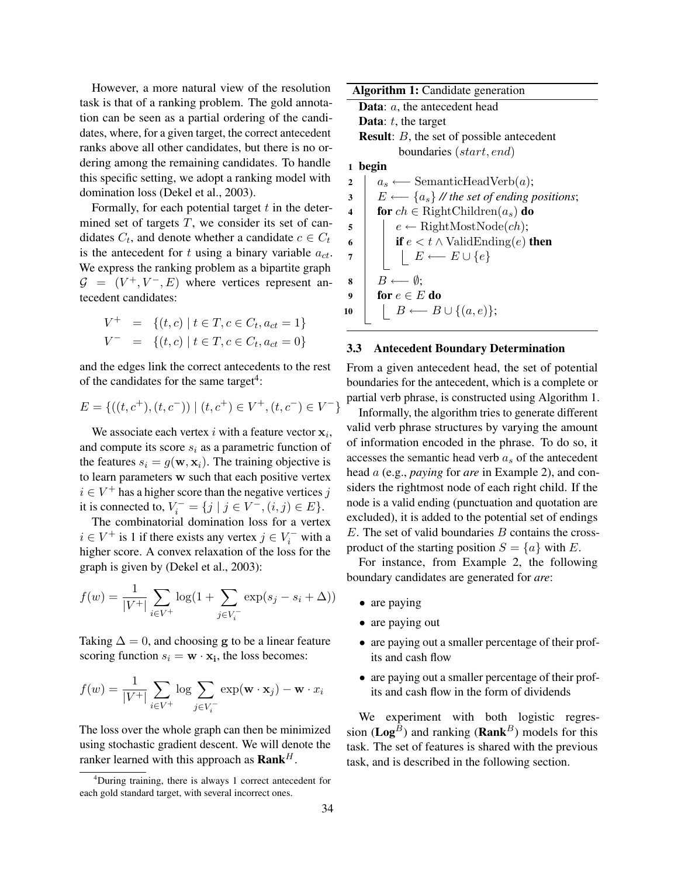However, a more natural view of the resolution task is that of a ranking problem. The gold annotation can be seen as a partial ordering of the candidates, where, for a given target, the correct antecedent ranks above all other candidates, but there is no ordering among the remaining candidates. To handle this specific setting, we adopt a ranking model with domination loss (Dekel et al., 2003).

Formally, for each potential target  $t$  in the determined set of targets  $T$ , we consider its set of candidates  $C_t$ , and denote whether a candidate  $c \in C_t$ is the antecedent for t using a binary variable  $a_{ct}$ . We express the ranking problem as a bipartite graph  $G = (V^+, V^-, E)$  where vertices represent antecedent candidates:

$$
V^+ = \{(t, c) \mid t \in T, c \in C_t, a_{ct} = 1\}
$$
  

$$
V^- = \{(t, c) \mid t \in T, c \in C_t, a_{ct} = 0\}
$$

and the edges link the correct antecedents to the rest of the candidates for the same target<sup>4</sup>:

$$
E = \{((t, c^+), (t, c^-)) \mid (t, c^+) \in V^+, (t, c^-) \in V^-\}
$$

We associate each vertex i with a feature vector  $x_i$ , and compute its score  $s_i$  as a parametric function of the features  $s_i = g(\mathbf{w}, \mathbf{x}_i)$ . The training objective is to learn parameters w such that each positive vertex  $i \in V^+$  has a higher score than the negative vertices j it is connected to,  $V_i^- = \{j \mid j \in V^-, (i, j) \in E\}.$ 

The combinatorial domination loss for a vertex  $i \in V^+$  is 1 if there exists any vertex  $j \in V_i^-$  with a higher score. A convex relaxation of the loss for the graph is given by (Dekel et al., 2003):

$$
f(w) = \frac{1}{|V^+|} \sum_{i \in V^+} \log(1 + \sum_{j \in V_i^-} \exp(s_j - s_i + \Delta))
$$

Taking  $\Delta = 0$ , and choosing g to be a linear feature scoring function  $s_i = \mathbf{w} \cdot \mathbf{x_i}$ , the loss becomes:

$$
f(w) = \frac{1}{|V^+|} \sum_{i \in V^+} \log \sum_{j \in V_i^-} \exp(\mathbf{w} \cdot \mathbf{x}_j) - \mathbf{w} \cdot x_i
$$

The loss over the whole graph can then be minimized using stochastic gradient descent. We will denote the ranker learned with this approach as  $\text{Rank}^H$ .

|                | <b>Algorithm 1:</b> Candidate generation                   |  |  |  |  |  |  |  |
|----------------|------------------------------------------------------------|--|--|--|--|--|--|--|
|                | <b>Data:</b> $a$ , the antecedent head                     |  |  |  |  |  |  |  |
|                | <b>Data:</b> $t$ , the target                              |  |  |  |  |  |  |  |
|                | <b>Result:</b> B, the set of possible antecedent           |  |  |  |  |  |  |  |
|                | boundaries (start, end)                                    |  |  |  |  |  |  |  |
| 1              | begin                                                      |  |  |  |  |  |  |  |
| $\overline{2}$ | $a_s \longleftarrow$ SemanticHeadVerb(a);                  |  |  |  |  |  |  |  |
| 3              | $E \longleftarrow \{a_s\}$ // the set of ending positions; |  |  |  |  |  |  |  |
| 4              | for $ch \in$ RightChildren $(a_s)$ do                      |  |  |  |  |  |  |  |
| 5              | $e \leftarrow$ RightMostNode( <i>ch</i> );                 |  |  |  |  |  |  |  |
| 6              | <b>if</b> $e < t \wedge$ ValidEnding(e) <b>then</b>        |  |  |  |  |  |  |  |
| 7              | $E \longleftarrow E \cup \{e\}$                            |  |  |  |  |  |  |  |
|                |                                                            |  |  |  |  |  |  |  |
| 8              | $B \longleftarrow \emptyset$                               |  |  |  |  |  |  |  |
| 9              | for $e \in E$ do                                           |  |  |  |  |  |  |  |
| 10             | $B \longleftarrow B \cup \{(a,e)\};$                       |  |  |  |  |  |  |  |
|                |                                                            |  |  |  |  |  |  |  |

#### 3.3 Antecedent Boundary Determination

From a given antecedent head, the set of potential boundaries for the antecedent, which is a complete or partial verb phrase, is constructed using Algorithm 1.

Informally, the algorithm tries to generate different valid verb phrase structures by varying the amount of information encoded in the phrase. To do so, it accesses the semantic head verb  $a<sub>s</sub>$  of the antecedent head a (e.g., *paying* for *are* in Example 2), and considers the rightmost node of each right child. If the node is a valid ending (punctuation and quotation are excluded), it is added to the potential set of endings  $E$ . The set of valid boundaries  $B$  contains the crossproduct of the starting position  $S = \{a\}$  with E.

For instance, from Example 2, the following boundary candidates are generated for *are*:

- are paying
- are paying out
- are paying out a smaller percentage of their profits and cash flow
- are paying out a smaller percentage of their profits and cash flow in the form of dividends

We experiment with both logistic regression ( $\mathbf{Log}^B$ ) and ranking ( $\mathbf{Rank}^B$ ) models for this task. The set of features is shared with the previous task, and is described in the following section.

<sup>&</sup>lt;sup>4</sup>During training, there is always 1 correct antecedent for each gold standard target, with several incorrect ones.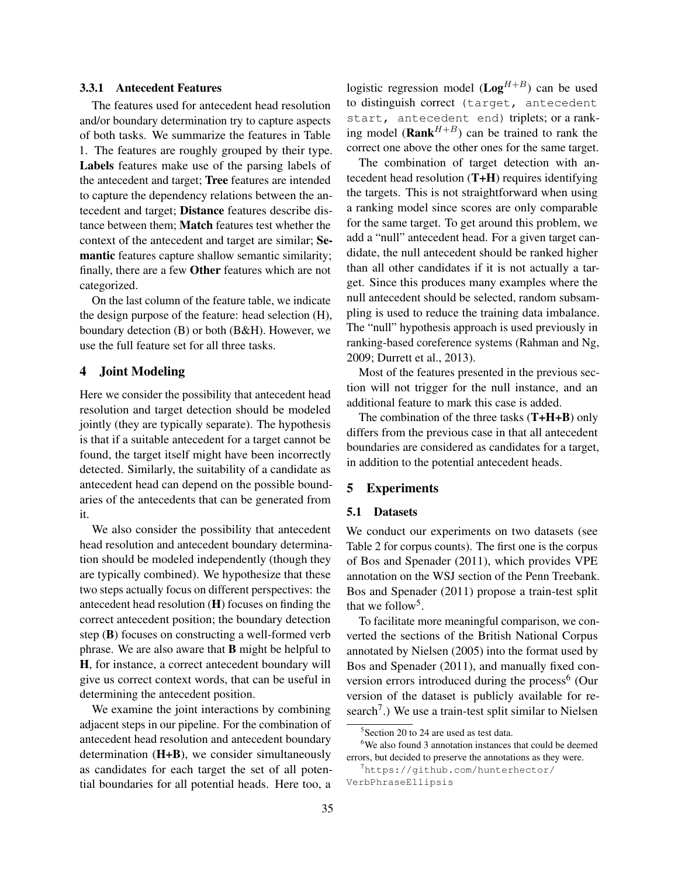### 3.3.1 Antecedent Features

The features used for antecedent head resolution and/or boundary determination try to capture aspects of both tasks. We summarize the features in Table 1. The features are roughly grouped by their type. Labels features make use of the parsing labels of the antecedent and target; Tree features are intended to capture the dependency relations between the antecedent and target; Distance features describe distance between them; Match features test whether the context of the antecedent and target are similar; Semantic features capture shallow semantic similarity; finally, there are a few Other features which are not categorized.

On the last column of the feature table, we indicate the design purpose of the feature: head selection (H), boundary detection (B) or both (B&H). However, we use the full feature set for all three tasks.

### 4 Joint Modeling

Here we consider the possibility that antecedent head resolution and target detection should be modeled jointly (they are typically separate). The hypothesis is that if a suitable antecedent for a target cannot be found, the target itself might have been incorrectly detected. Similarly, the suitability of a candidate as antecedent head can depend on the possible boundaries of the antecedents that can be generated from it.

We also consider the possibility that antecedent head resolution and antecedent boundary determination should be modeled independently (though they are typically combined). We hypothesize that these two steps actually focus on different perspectives: the antecedent head resolution (H) focuses on finding the correct antecedent position; the boundary detection step (B) focuses on constructing a well-formed verb phrase. We are also aware that B might be helpful to H, for instance, a correct antecedent boundary will give us correct context words, that can be useful in determining the antecedent position.

We examine the joint interactions by combining adjacent steps in our pipeline. For the combination of antecedent head resolution and antecedent boundary determination (H+B), we consider simultaneously as candidates for each target the set of all potential boundaries for all potential heads. Here too, a logistic regression model ( $\text{Log}^{H+B}$ ) can be used to distinguish correct (target, antecedent start, antecedent end) triplets; or a ranking model (**Rank**<sup>H+B</sup>) can be trained to rank the correct one above the other ones for the same target.

The combination of target detection with antecedent head resolution (T+H) requires identifying the targets. This is not straightforward when using a ranking model since scores are only comparable for the same target. To get around this problem, we add a "null" antecedent head. For a given target candidate, the null antecedent should be ranked higher than all other candidates if it is not actually a target. Since this produces many examples where the null antecedent should be selected, random subsampling is used to reduce the training data imbalance. The "null" hypothesis approach is used previously in ranking-based coreference systems (Rahman and Ng, 2009; Durrett et al., 2013).

Most of the features presented in the previous section will not trigger for the null instance, and an additional feature to mark this case is added.

The combination of the three tasks  $(T+H+B)$  only differs from the previous case in that all antecedent boundaries are considered as candidates for a target, in addition to the potential antecedent heads.

### 5 Experiments

#### 5.1 Datasets

We conduct our experiments on two datasets (see Table 2 for corpus counts). The first one is the corpus of Bos and Spenader (2011), which provides VPE annotation on the WSJ section of the Penn Treebank. Bos and Spenader (2011) propose a train-test split that we follow<sup>5</sup>.

To facilitate more meaningful comparison, we converted the sections of the British National Corpus annotated by Nielsen (2005) into the format used by Bos and Spenader (2011), and manually fixed conversion errors introduced during the process<sup>6</sup> (Our version of the dataset is publicly available for research<sup>7</sup>.) We use a train-test split similar to Nielsen

<sup>5</sup> Section 20 to 24 are used as test data.

<sup>&</sup>lt;sup>6</sup>We also found 3 annotation instances that could be deemed errors, but decided to preserve the annotations as they were.

<sup>7</sup>https://github.com/hunterhector/ VerbPhraseEllipsis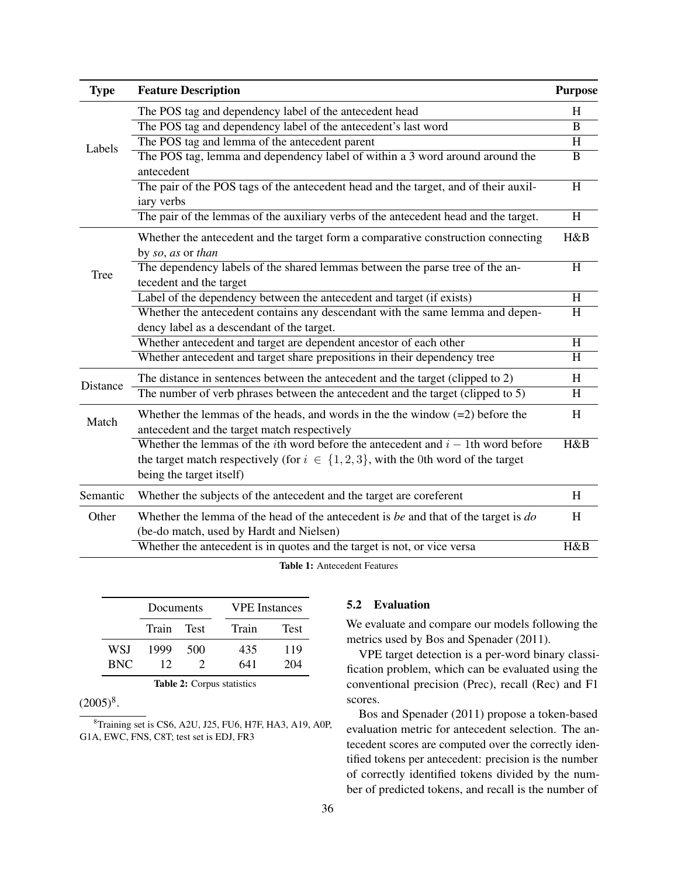| <b>Type</b> | <b>Feature Description</b>                                                                                                                                                                                        | <b>Purpose</b> |
|-------------|-------------------------------------------------------------------------------------------------------------------------------------------------------------------------------------------------------------------|----------------|
|             | The POS tag and dependency label of the antecedent head                                                                                                                                                           | H              |
|             | The POS tag and dependency label of the antecedent's last word                                                                                                                                                    | B              |
| Labels      | The POS tag and lemma of the antecedent parent                                                                                                                                                                    | H              |
|             | The POS tag, lemma and dependency label of within a 3 word around around the                                                                                                                                      | $\bf{B}$       |
|             | antecedent                                                                                                                                                                                                        |                |
|             | The pair of the POS tags of the antecedent head and the target, and of their auxil-                                                                                                                               | H              |
|             | iary verbs                                                                                                                                                                                                        |                |
|             | The pair of the lemmas of the auxiliary verbs of the antecedent head and the target.                                                                                                                              | H              |
|             | Whether the antecedent and the target form a comparative construction connecting                                                                                                                                  | H&B            |
|             | by so, as or than                                                                                                                                                                                                 |                |
| Tree        | The dependency labels of the shared lemmas between the parse tree of the an-                                                                                                                                      | $\overline{H}$ |
|             | tecedent and the target                                                                                                                                                                                           |                |
|             | Label of the dependency between the antecedent and target (if exists)                                                                                                                                             | $\overline{H}$ |
|             | Whether the antecedent contains any descendant with the same lemma and depen-                                                                                                                                     | H              |
|             | dency label as a descendant of the target.                                                                                                                                                                        |                |
|             | Whether antecedent and target are dependent ancestor of each other                                                                                                                                                | H              |
|             | Whether antecedent and target share prepositions in their dependency tree                                                                                                                                         | H              |
| Distance    | The distance in sentences between the antecedent and the target (clipped to 2)                                                                                                                                    | H              |
|             | The number of verb phrases between the antecedent and the target (clipped to 5)                                                                                                                                   | H              |
| Match       | Whether the lemmas of the heads, and words in the the window $(=2)$ before the<br>antecedent and the target match respectively                                                                                    | H              |
|             | Whether the lemmas of the <i>i</i> th word before the antecedent and $i - 1$ th word before<br>the target match respectively (for $i \in \{1,2,3\}$ , with the 0th word of the target<br>being the target itself) | H&B            |
| Semantic    | Whether the subjects of the antecedent and the target are coreferent                                                                                                                                              | H              |
| Other       | Whether the lemma of the head of the antecedent is be and that of the target is $do$<br>(be-do match, used by Hardt and Nielsen)                                                                                  | H              |
|             | Whether the antecedent is in quotes and the target is not, or vice versa                                                                                                                                          | H&B            |
|             | $\mathbf{m}$ and $\mathbf{a}$                                                                                                                                                                                     |                |

Table 1: Antecedent Features

|            | Documents |               | <b>VPE</b> Instances |             |  |  |
|------------|-----------|---------------|----------------------|-------------|--|--|
|            | Train     | <b>Test</b>   | Train                | <b>Test</b> |  |  |
| WSI        | 1999      | 500           | 435                  | 119         |  |  |
| <b>BNC</b> | 12        | $\mathcal{D}$ | 641                  | 204         |  |  |

Table 2: Corpus statistics

## $(2005)^8$ .

<sup>8</sup>Training set is CS6, A2U, J25, FU6, H7F, HA3, A19, A0P, G1A, EWC, FNS, C8T; test set is EDJ, FR3

## 5.2 Evaluation

We evaluate and compare our models following the metrics used by Bos and Spenader (2011).

VPE target detection is a per-word binary classification problem, which can be evaluated using the conventional precision (Prec), recall (Rec) and F1 scores.

Bos and Spenader (2011) propose a token-based evaluation metric for antecedent selection. The antecedent scores are computed over the correctly identified tokens per antecedent: precision is the number of correctly identified tokens divided by the number of predicted tokens, and recall is the number of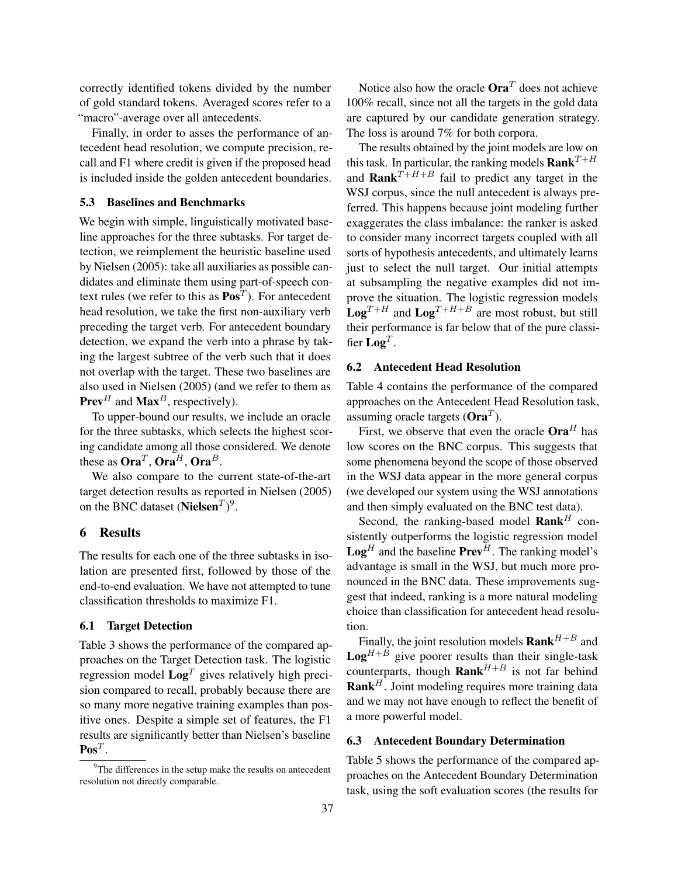correctly identified tokens divided by the number of gold standard tokens. Averaged scores refer to a "macro"-average over all antecedents.

Finally, in order to asses the performance of antecedent head resolution, we compute precision, recall and F1 where credit is given if the proposed head is included inside the golden antecedent boundaries.

## 5.3 Baselines and Benchmarks

We begin with simple, linguistically motivated baseline approaches for the three subtasks. For target detection, we reimplement the heuristic baseline used by Nielsen (2005): take all auxiliaries as possible candidates and eliminate them using part-of-speech context rules (we refer to this as  $\mathbf{Pos}^T$ ). For antecedent head resolution, we take the first non-auxiliary verb preceding the target verb. For antecedent boundary detection, we expand the verb into a phrase by taking the largest subtree of the verb such that it does not overlap with the target. These two baselines are also used in Nielsen (2005) (and we refer to them as **Prev**<sup>H</sup> and **Max**<sup>B</sup>, respectively).

To upper-bound our results, we include an oracle for the three subtasks, which selects the highest scoring candidate among all those considered. We denote these as  $Ora^T$ ,  $Ora^H$ ,  $Ora^B$ .

We also compare to the current state-of-the-art target detection results as reported in Nielsen (2005) on the BNC dataset (Nielsen $T$ )<sup>9</sup>.

### 6 Results

The results for each one of the three subtasks in isolation are presented first, followed by those of the end-to-end evaluation. We have not attempted to tune classification thresholds to maximize F1.

## 6.1 Target Detection

Table 3 shows the performance of the compared approaches on the Target Detection task. The logistic regression model  $\mathbf{Log}^T$  gives relatively high precision compared to recall, probably because there are so many more negative training examples than positive ones. Despite a simple set of features, the F1 results are significantly better than Nielsen's baseline  $\mathbf{Pos}^T$ .

Notice also how the oracle  $Ora<sup>T</sup>$  does not achieve 100% recall, since not all the targets in the gold data are captured by our candidate generation strategy. The loss is around 7% for both corpora.

The results obtained by the joint models are low on this task. In particular, the ranking models **Rank**<sup> $T+H$ </sup> and **Rank**<sup> $T+H+B$ </sup> fail to predict any target in the WSJ corpus, since the null antecedent is always preferred. This happens because joint modeling further exaggerates the class imbalance: the ranker is asked to consider many incorrect targets coupled with all sorts of hypothesis antecedents, and ultimately learns just to select the null target. Our initial attempts at subsampling the negative examples did not improve the situation. The logistic regression models  $Log<sup>T+H</sup>$  and  $Log<sup>T+H+B</sup>$  are most robust, but still their performance is far below that of the pure classifier  $\mathbf{Log}^T$ .

### 6.2 Antecedent Head Resolution

Table 4 contains the performance of the compared approaches on the Antecedent Head Resolution task, assuming oracle targets ( $Ora^T$ ).

First, we observe that even the oracle  $Ora<sup>H</sup>$  has low scores on the BNC corpus. This suggests that some phenomena beyond the scope of those observed in the WSJ data appear in the more general corpus (we developed our system using the WSJ annotations and then simply evaluated on the BNC test data).

Second, the ranking-based model  $\textbf{Rank}^H$  consistently outperforms the logistic regression model  $\mathbf{Log}^H$  and the baseline  $\mathbf{Prev}^H$ . The ranking model's advantage is small in the WSJ, but much more pronounced in the BNC data. These improvements suggest that indeed, ranking is a more natural modeling choice than classification for antecedent head resolution.

Finally, the joint resolution models  $\textbf{Rank}^{H+B}$  and  $\textbf{Log}^{H+B}$  give poorer results than their single-task counterparts, though  $\textbf{Rank}^{H+B}$  is not far behind  $\textbf{Rank}^H$ . Joint modeling requires more training data and we may not have enough to reflect the benefit of a more powerful model.

### 6.3 Antecedent Boundary Determination

Table 5 shows the performance of the compared approaches on the Antecedent Boundary Determination task, using the soft evaluation scores (the results for

 $9^9$ The differences in the setup make the results on antecedent resolution not directly comparable.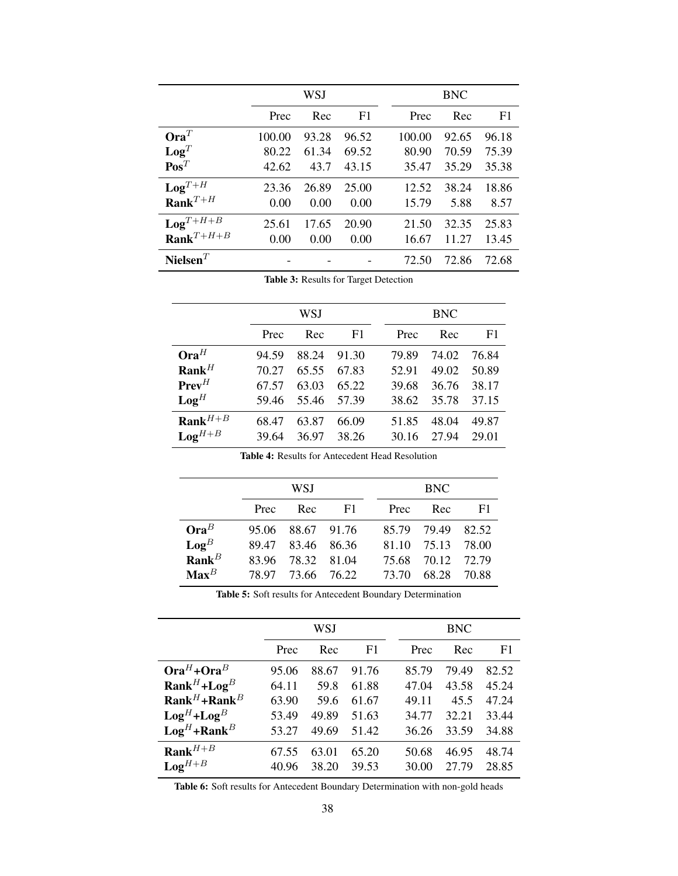|                         |        | WSJ   |       |        | <b>BNC</b> |                |
|-------------------------|--------|-------|-------|--------|------------|----------------|
|                         | Prec   | Rec   | F1    | Prec   | Rec        | F <sub>1</sub> |
| $Ora^T$                 | 100.00 | 93.28 | 96.52 | 100.00 | 92.65      | 96.18          |
| $\mathbf{Log}^T$        | 80.22  | 61.34 | 69.52 | 80.90  | 70.59      | 75.39          |
| $\mathbf{Pos}^T$        | 42.62  | 43.7  | 43.15 | 35.47  | 35.29      | 35.38          |
| $\mathbf{Log}^{T+H}$    | 23.36  | 26.89 | 25.00 | 12.52  | 38.24      | 18.86          |
| $\textbf{Rank}^{T+H}$   | 0.00   | 0.00  | 0.00  | 15.79  | 5.88       | 8.57           |
| $LogT+H+B$              | 25.61  | 17.65 | 20.90 | 21.50  | 32.35      | 25.83          |
| $\textbf{Rank}^{T+H+B}$ | 0.00   | 0.00  | 0.00  | 16.67  | 11.27      | 13.45          |
| Nielsen $^T$            |        |       |       | 72.50  | 72.86      | 72.68          |

Table 3: Results for Target Detection

|                       |       | WSJ   |       | <b>BNC</b> |       |       |  |  |
|-----------------------|-------|-------|-------|------------|-------|-------|--|--|
|                       | Prec  | Rec   | F1    | Prec       | Rec   | F1    |  |  |
| $Ora^{H}$             | 94.59 | 88.24 | 91.30 | 79.89      | 74.02 | 76.84 |  |  |
| $\textbf{Rank}^H$     | 70.27 | 65.55 | 67.83 | 52.91      | 49.02 | 50.89 |  |  |
| $PrevH$               | 67.57 | 63.03 | 65.22 | 39.68      | 36.76 | 38.17 |  |  |
| $\mathbf{Log}^H$      | 59.46 | 55.46 | 57.39 | 38.62      | 35.78 | 37.15 |  |  |
| $\textbf{Rank}^{H+B}$ | 68.47 | 63.87 | 66.09 | 51.85      | 48.04 | 49.87 |  |  |
| $\textbf{Log}^{H+B}$  | 39.64 | 36.97 | 38.26 | 30.16      | 27.94 | 29.01 |  |  |

| <b>Table 4: Results for Antecedent Head Resolution</b> |
|--------------------------------------------------------|
|--------------------------------------------------------|

|                   |       | WSJ   |             | <b>BNC</b> |       |       |  |  |  |
|-------------------|-------|-------|-------------|------------|-------|-------|--|--|--|
|                   | Prec  | Rec   | F1          | Prec       | Rec   | F1    |  |  |  |
| $Ora^B$           | 95.06 |       | 88.67 91.76 | 85.79      | 79.49 | 82.52 |  |  |  |
| $\textbf{Log}^B$  | 89.47 | 83.46 | 86.36       | 81.10      | 75.13 | 78.00 |  |  |  |
| $\textbf{Rank}^B$ | 83.96 | 78.32 | 81.04       | 75.68      | 70.12 | 72.79 |  |  |  |
| $\mathbf{Max}^B$  | 78.97 |       | 73.66 76.22 | 73.70      | 68.28 | 70.88 |  |  |  |

|                                     |       | WSJ   |       |       | <b>BNC</b> |                |  |  |  |
|-------------------------------------|-------|-------|-------|-------|------------|----------------|--|--|--|
|                                     | Prec  | Rec   | F1    | Prec  | Rec        | F <sub>1</sub> |  |  |  |
| $OraH + OraB$                       | 95.06 | 88.67 | 91.76 | 85.79 | 79.49      | 82.52          |  |  |  |
| $\textbf{Rank}^H + \textbf{Log}^B$  | 64.11 | 59.8  | 61.88 | 47.04 | 43.58      | 45.24          |  |  |  |
| $\textbf{Rank}^H + \textbf{Rank}^B$ | 63.90 | 59.6  | 61.67 | 49.11 | 45.5       | 47.24          |  |  |  |
| $\text{Log}^H + \text{Log}^B$       | 53.49 | 49.89 | 51.63 | 34.77 | 32.21      | 33.44          |  |  |  |
| $\text{Log}^H + \text{Rank}^B$      | 53.27 | 49.69 | 51.42 | 36.26 | 33.59      | 34.88          |  |  |  |
| $\textbf{Rank}^{H+B}$               | 67.55 | 63.01 | 65.20 | 50.68 | 46.95      | 48.74          |  |  |  |
| $\mathbf{Log}^{H+B}$                | 40.96 | 38.20 | 39.53 | 30.00 | 27.79      | 28.85          |  |  |  |

Table 6: Soft results for Antecedent Boundary Determination with non-gold heads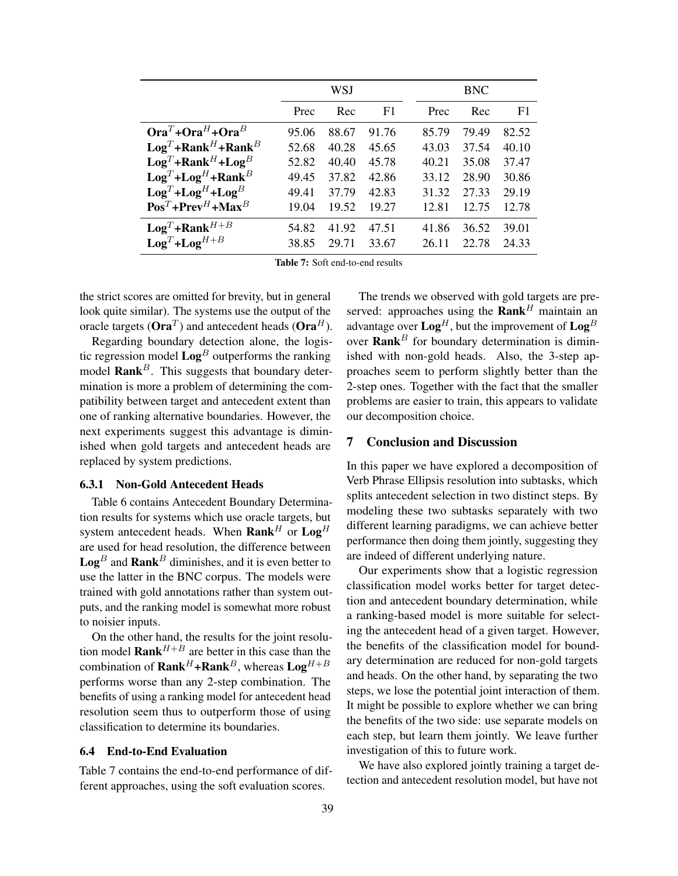|                                                      |       | WSJ   |                |       | <b>BNC</b> |                |
|------------------------------------------------------|-------|-------|----------------|-------|------------|----------------|
|                                                      | Prec  | Rec   | F <sub>1</sub> | Prec  | Rec        | F <sub>1</sub> |
| $OraT + OraH + OraB$                                 | 95.06 | 88.67 | 91.76          | 85.79 | 79.49      | 82.52          |
| $\mathbf{Log}^T + \mathbf{Rank}^H + \mathbf{Rank}^B$ | 52.68 | 40.28 | 45.65          | 43.03 | 37.54      | 40.10          |
| $\mathbf{Log}^T + \mathbf{Rank}^H + \mathbf{Log}^B$  | 52.82 | 40.40 | 45.78          | 40.21 | 35.08      | 37.47          |
| $\mathbf{Log}^T + \mathbf{Log}^H + \mathbf{Rank}^B$  | 49.45 | 37.82 | 42.86          | 33.12 | 28.90      | 30.86          |
| $LogT+LogH+LogB$                                     | 49.41 | 37.79 | 42.83          | 31.32 | 27.33      | 29.19          |
| $\mathbf{Pos}^T + \mathbf{Prev}^H + \mathbf{Max}^B$  | 19.04 | 19.52 | 19.27          | 12.81 | 12.75      | 12.78          |
| $LogT + RankH+B$                                     | 54.82 | 41.92 | 47.51          | 41.86 | 36.52      | 39.01          |
| $LogT+LogH+B$                                        | 38.85 | 29.71 | 33.67          | 26.11 | 22.78      | 24.33          |

Table 7: Soft end-to-end results

the strict scores are omitted for brevity, but in general look quite similar). The systems use the output of the oracle targets ( $\textbf{Ora}^{T}$ ) and antecedent heads ( $\textbf{Ora}^{H}$ ).

Regarding boundary detection alone, the logistic regression model  $\text{Log}^B$  outperforms the ranking model **Rank**<sup>B</sup>. This suggests that boundary determination is more a problem of determining the compatibility between target and antecedent extent than one of ranking alternative boundaries. However, the next experiments suggest this advantage is diminished when gold targets and antecedent heads are replaced by system predictions.

#### 6.3.1 Non-Gold Antecedent Heads

Table 6 contains Antecedent Boundary Determination results for systems which use oracle targets, but system antecedent heads. When  $\textbf{Rank}^H$  or  $\textbf{Log}^H$ are used for head resolution, the difference between  $\textbf{Log}^B$  and  $\textbf{Rank}^B$  diminishes, and it is even better to use the latter in the BNC corpus. The models were trained with gold annotations rather than system outputs, and the ranking model is somewhat more robust to noisier inputs.

On the other hand, the results for the joint resolution model  $\textbf{Rank}^{H+B}$  are better in this case than the combination of  $\textbf{Rank}^H + \textbf{Rank}^B$ , whereas  $\textbf{Log}^{H+B}$ performs worse than any 2-step combination. The benefits of using a ranking model for antecedent head resolution seem thus to outperform those of using classification to determine its boundaries.

### 6.4 End-to-End Evaluation

Table 7 contains the end-to-end performance of different approaches, using the soft evaluation scores.

The trends we observed with gold targets are preserved: approaches using the  $\textbf{Rank}^H$  maintain an advantage over  $\text{Log}^H$ , but the improvement of  $\text{Log}^B$ over  $\textbf{Rank}^B$  for boundary determination is diminished with non-gold heads. Also, the 3-step approaches seem to perform slightly better than the 2-step ones. Together with the fact that the smaller problems are easier to train, this appears to validate our decomposition choice.

### 7 Conclusion and Discussion

In this paper we have explored a decomposition of Verb Phrase Ellipsis resolution into subtasks, which splits antecedent selection in two distinct steps. By modeling these two subtasks separately with two different learning paradigms, we can achieve better performance then doing them jointly, suggesting they are indeed of different underlying nature.

Our experiments show that a logistic regression classification model works better for target detection and antecedent boundary determination, while a ranking-based model is more suitable for selecting the antecedent head of a given target. However, the benefits of the classification model for boundary determination are reduced for non-gold targets and heads. On the other hand, by separating the two steps, we lose the potential joint interaction of them. It might be possible to explore whether we can bring the benefits of the two side: use separate models on each step, but learn them jointly. We leave further investigation of this to future work.

We have also explored jointly training a target detection and antecedent resolution model, but have not